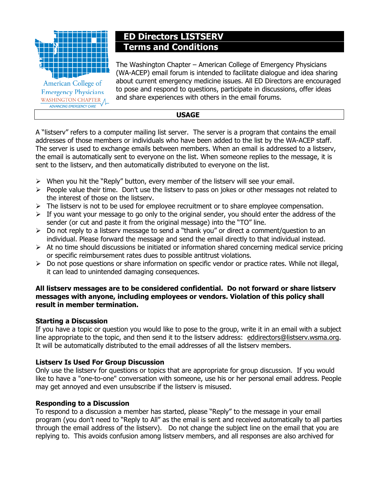

WASHINGTON CHAPTER A ADVANCING EMERGENCY CARE

# ED Directors LISTSERV Terms and Conditions

The Washington Chapter – American College of Emergency Physicians (WA-ACEP) email forum is intended to facilitate dialogue and idea sharing about current emergency medicine issues. All ED Directors are encouraged to pose and respond to questions, participate in discussions, offer ideas and share experiences with others in the email forums.

# USAGE

A "listserv" refers to a computer mailing list server. The server is a program that contains the email addresses of those members or individuals who have been added to the list by the WA-ACEP staff. The server is used to exchange emails between members. When an email is addressed to a listserv, the email is automatically sent to everyone on the list. When someone replies to the message, it is sent to the listserv, and then automatically distributed to everyone on the list.

- $\triangleright$  When you hit the "Reply" button, every member of the listserv will see your email.
- $\triangleright$  People value their time. Don't use the listserv to pass on jokes or other messages not related to the interest of those on the listserv.
- $\triangleright$  The listserv is not to be used for employee recruitment or to share employee compensation.
- $\triangleright$  If you want your message to go only to the original sender, you should enter the address of the sender (or cut and paste it from the original message) into the "TO" line.
- $\triangleright$  Do not reply to a listserv message to send a "thank you" or direct a comment/question to an individual. Please forward the message and send the email directly to that individual instead.
- $\triangleright$  At no time should discussions be initiated or information shared concerning medical service pricing or specific reimbursement rates dues to possible antitrust violations.
- $\triangleright$  Do not pose questions or share information on specific vendor or practice rates. While not illegal, it can lead to unintended damaging consequences.

#### All listserv messages are to be considered confidential. Do not forward or share listserv messages with anyone, including employees or vendors. Violation of this policy shall result in member termination.

# Starting a Discussion

If you have a topic or question you would like to pose to the group, write it in an email with a subject line appropriate to the topic, and then send it to the listserv address: eddirectors@listserv.wsma.org. It will be automatically distributed to the email addresses of all the listserv members.

# Listserv Is Used For Group Discussion

Only use the listserv for questions or topics that are appropriate for group discussion. If you would like to have a "one-to-one" conversation with someone, use his or her personal email address. People may get annoyed and even unsubscribe if the listserv is misused.

# Responding to a Discussion

To respond to a discussion a member has started, please "Reply" to the message in your email program (you don't need to "Reply to All" as the email is sent and received automatically to all parties through the email address of the listserv). Do not change the subject line on the email that you are replying to. This avoids confusion among listserv members, and all responses are also archived for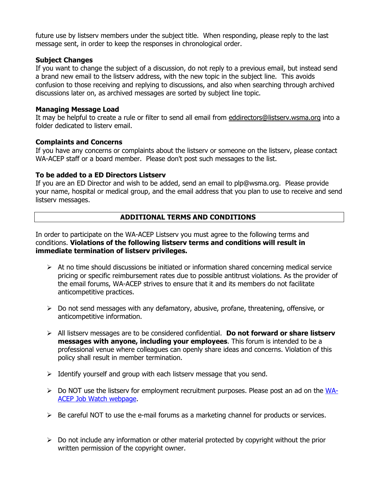future use by listserv members under the subject title. When responding, please reply to the last message sent, in order to keep the responses in chronological order.

#### Subject Changes

If you want to change the subject of a discussion, do not reply to a previous email, but instead send a brand new email to the listserv address, with the new topic in the subject line. This avoids confusion to those receiving and replying to discussions, and also when searching through archived discussions later on, as archived messages are sorted by subject line topic.

#### Managing Message Load

It may be helpful to create a rule or filter to send all email from eddirectors@listserv.wsma.org into a folder dedicated to listerv email.

#### Complaints and Concerns

If you have any concerns or complaints about the listserv or someone on the listserv, please contact WA-ACEP staff or a board member. Please don't post such messages to the list.

#### To be added to a ED Directors Listserv

If you are an ED Director and wish to be added, send an email to plp@wsma.org. Please provide your name, hospital or medical group, and the email address that you plan to use to receive and send listserv messages.

# ADDITIONAL TERMS AND CONDITIONS

In order to participate on the WA-ACEP Listserv you must agree to the following terms and conditions. Violations of the following listserv terms and conditions will result in immediate termination of listserv privileges.

- $\triangleright$  At no time should discussions be initiated or information shared concerning medical service pricing or specific reimbursement rates due to possible antitrust violations. As the provider of the email forums, WA-ACEP strives to ensure that it and its members do not facilitate anticompetitive practices.
- $\triangleright$  Do not send messages with any defamatory, abusive, profane, threatening, offensive, or anticompetitive information.
- $\triangleright$  All listserv messages are to be considered confidential. **Do not forward or share listserv** messages with anyone, including your employees. This forum is intended to be a professional venue where colleagues can openly share ideas and concerns. Violation of this policy shall result in member termination.
- $\triangleright$  Identify yourself and group with each listserv message that you send.
- $\triangleright$  Do NOT use the listserv for employment recruitment purposes. Please post an ad on the WA-ACEP Job Watch webpage.
- $\triangleright$  Be careful NOT to use the e-mail forums as a marketing channel for products or services.
- $\triangleright$  Do not include any information or other material protected by copyright without the prior written permission of the copyright owner.